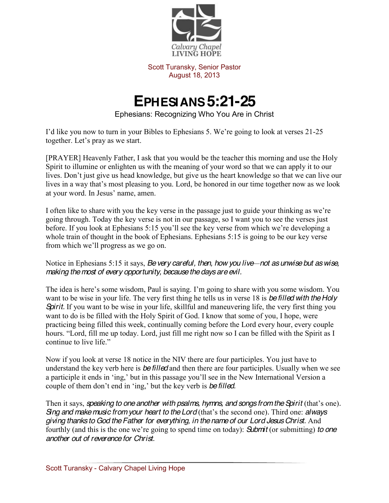

Scott Turansky, Senior Pastor August 18, 2013

## **EPHESIANS 5:21-25**

Ephesians: Recognizing Who You Are in Christ

I'd like you now to turn in your Bibles to Ephesians 5. We're going to look at verses 21-25 together. Let's pray as we start.

[PRAYER] Heavenly Father, I ask that you would be the teacher this morning and use the Holy Spirit to illumine or enlighten us with the meaning of your word so that we can apply it to our lives. Don't just give us head knowledge, but give us the heart knowledge so that we can live our lives in a way that's most pleasing to you. Lord, be honored in our time together now as we look at your word. In Jesus' name, amen.

I often like to share with you the key verse in the passage just to guide your thinking as we're going through. Today the key verse is not in our passage, so I want you to see the verses just before. If you look at Ephesians  $5:15$  you'll see the key verse from which we're developing a whole train of thought in the book of Ephesians. Ephesians 5:15 is going to be our key verse from which we'll progress as we go on.

Notice in Ephesians 5:15 it says, *Be very careful, then, how you live*—not as unwise but as wise, *making the most of every opportunity, because the days are evil.*

The idea is here's some wisdom, Paul is saying. I'm going to share with you some wisdom. You want to be wise in your life. The very first thing he tells us in verse 18 is *be filled with the Holy Spirit.* If you want to be wise in your life, skillful and maneuvering life, the very first thing you want to do is be filled with the Holy Spirit of God. I know that some of you, I hope, were practicing being filled this week, continually coming before the Lord every hour, every couple hours. "Lord, fill me up today. Lord, just fill me right now so I can be filled with the Spirit as I continue to live life."

Now if you look at verse 18 notice in the NIV there are four participles. You just have to understand the key verb here is *be filled* and then there are four participles. Usually when we see a participle it ends in 'ing,' but in this passage you'll see in the New International Version a couple of them don't end in 'ing,' but the key verb is *be filled.* 

Then it says, *speaking to one another with psalms, hymns, and songs from the Spirit* (that's one). *Sing and make music from your heart to the Lord* (that's the second one). Third one: *always giving thanks to God the Father for everything, in the name of our Lord Jesus Christ.* And fourthly (and this is the one we're going to spend time on today): **Submit** (or submitting) *to one another out of reverence for Christ.*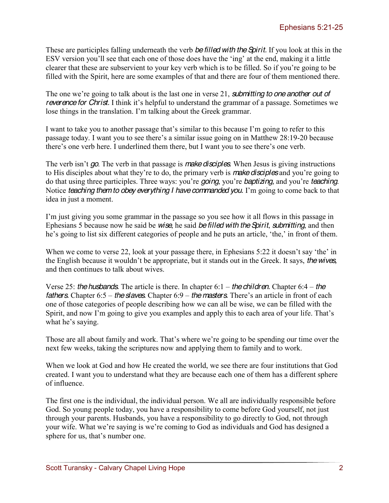These are participles falling underneath the verb *be filled with the Spirit.* If you look at this in the ESV version you'll see that each one of those does have the 'ing' at the end, making it a little clearer that these are subservient to your key verb which is to be filled. So if you're going to be filled with the Spirit, here are some examples of that and there are four of them mentioned there.

The one we're going to talk about is the last one in verse 21, submitting to one another out of *reverence for Christ.* I think it's helpful to understand the grammar of a passage. Sometimes we lose things in the translation. I'm talking about the Greek grammar.

I want to take you to another passage that's similar to this because I'm going to refer to this passage today. I want you to see there's a similar issue going on in Matthew  $28:19-20$  because there's one verb here. I underlined them there, but I want you to see there's one verb.

The verb isn't go. The verb in that passage is *make disciples*. When Jesus is giving instructions to His disciples about what they're to do, the primary verb is make disciples and you're going to do that using three participles. Three ways: you're *going*, you're *baptizing*, and you're *teaching*. Notice *teaching them to obey everything I have commanded you.* I'm going to come back to that idea in just a moment.

I'm just giving you some grammar in the passage so you see how it all flows in this passage in Ephesians 5 because now he said be *wise*, he said *be filled with the Spirit*, *submitting*, and then he's going to list six different categories of people and he puts an article, 'the,' in front of them.

When we come to verse 22, look at your passage there, in Ephesians  $5:22$  it doesn't say 'the' in the English because it wouldn't be appropriate, but it stands out in the Greek. It says, *the wives*, and then continues to talk about wives.

Verse 25: *the husbands.* The article is there. In chapter 6:1 – *the children.* Chapter 6:4 – *the fathers.* Chapter 6:5 – *the slaves.* Chapter 6:9 – *the masters.* There's an article in front of each one of those categories of people describing how we can all be wise, we can be filled with the Spirit, and now I'm going to give you examples and apply this to each area of your life. That's what he's saying.

Those are all about family and work. That's where we're going to be spending our time over the next few weeks, taking the scriptures now and applying them to family and to work.

When we look at God and how He created the world, we see there are four institutions that God created. I want you to understand what they are because each one of them has a different sphere of influence.

The first one is the individual, the individual person. We all are individually responsible before God. So young people today, you have a responsibility to come before God yourself, not just through your parents. Husbands, you have a responsibility to go directly to God, not through your wife. What we're saying is we're coming to God as individuals and God has designed a sphere for us, that's number one.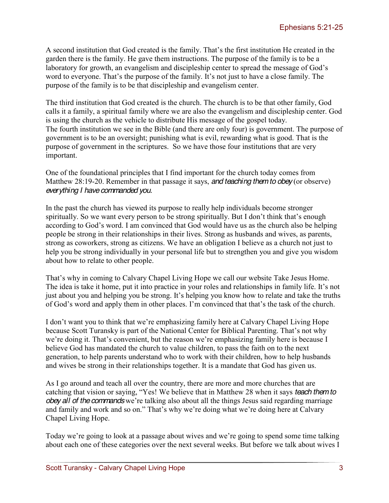A second institution that God created is the family. That's the first institution He created in the garden there is the family. He gave them instructions. The purpose of the family is to be a laboratory for growth, an evangelism and discipleship center to spread the message of God's word to everyone. That's the purpose of the family. It's not just to have a close family. The purpose of the family is to be that discipleship and evangelism center.

The third institution that God created is the church. The church is to be that other family, God calls it a family, a spiritual family where we are also the evangelism and discipleship center. God is using the church as the vehicle to distribute His message of the gospel today. The fourth institution we see in the Bible (and there are only four) is government. The purpose of government is to be an oversight; punishing what is evil, rewarding what is good. That is the purpose of government in the scriptures. So we have those four institutions that are very important.

One of the foundational principles that I find important for the church today comes from Matthew 28:19-20. Remember in that passage it says, *and teaching them to obey* (or observe) *everything I have commanded you.* 

In the past the church has viewed its purpose to really help individuals become stronger spiritually. So we want every person to be strong spiritually. But I don't think that's enough according to God's word. I am convinced that God would have us as the church also be helping people be strong in their relationships in their lives. Strong as husbands and wives, as parents, strong as coworkers, strong as citizens. We have an obligation I believe as a church not just to help you be strong individually in your personal life but to strengthen you and give you wisdom about how to relate to other people.

That's why in coming to Calvary Chapel Living Hope we call our website Take Jesus Home. The idea is take it home, put it into practice in your roles and relationships in family life. It's not just about you and helping you be strong. It's helping you know how to relate and take the truths of God's word and apply them in other places. I'm convinced that that's the task of the church.

I don't want you to think that we're emphasizing family here at Calvary Chapel Living Hope because Scott Turansky is part of the National Center for Biblical Parenting. That's not why we're doing it. That's convenient, but the reason we're emphasizing family here is because I believe God has mandated the church to value children, to pass the faith on to the next generation, to help parents understand who to work with their children, how to help husbands and wives be strong in their relationships together. It is a mandate that God has given us.

As I go around and teach all over the country, there are more and more churches that are catching that vision or saying, "Yes! We believe that in Matthew 28 when it says *teach them to obey all of the commands* we're talking also about all the things Jesus said regarding marriage and family and work and so on." That's why we're doing what we're doing here at Calvary Chapel Living Hope.

Today we're going to look at a passage about wives and we're going to spend some time talking about each one of these categories over the next several weeks. But before we talk about wives I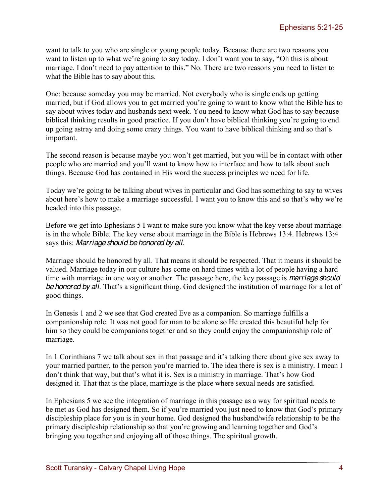want to talk to you who are single or young people today. Because there are two reasons you want to listen up to what we're going to say today. I don't want you to say, "Oh this is about marriage. I don't need to pay attention to this." No. There are two reasons you need to listen to what the Bible has to say about this.

One: because someday you may be married. Not everybody who is single ends up getting married, but if God allows you to get married you're going to want to know what the Bible has to say about wives today and husbands next week. You need to know what God has to say because biblical thinking results in good practice. If you don't have biblical thinking you're going to end up going astray and doing some crazy things. You want to have biblical thinking and so that's important.

The second reason is because maybe you won't get married, but you will be in contact with other people who are married and you'll want to know how to interface and how to talk about such things. Because God has contained in His word the success principles we need for life.

Today we're going to be talking about wives in particular and God has something to say to wives about here's how to make a marriage successful. I want you to know this and so that's why we're headed into this passage.

Before we get into Ephesians 5 I want to make sure you know what the key verse about marriage is in the whole Bible. The key verse about marriage in the Bible is Hebrews 13:4. Hebrews 13:4 says this: *Marriage should be honored by all.* 

Marriage should be honored by all. That means it should be respected. That it means it should be valued. Marriage today in our culture has come on hard times with a lot of people having a hard time with marriage in one way or another. The passage here, the key passage is *marriage should be honored by all.* That's a significant thing. God designed the institution of marriage for a lot of good things.

In Genesis 1 and 2 we see that God created Eve as a companion. So marriage fulfills a companionship role. It was not good for man to be alone so He created this beautiful help for him so they could be companions together and so they could enjoy the companionship role of marriage.

In 1 Corinthians 7 we talk about sex in that passage and it's talking there about give sex away to your married partner, to the person you're married to. The idea there is sex is a ministry. I mean I don't think that way, but that's what it is. Sex is a ministry in marriage. That's how God designed it. That that is the place, marriage is the place where sexual needs are satisfied.

In Ephesians 5 we see the integration of marriage in this passage as a way for spiritual needs to be met as God has designed them. So if you're married you just need to know that God's primary discipleship place for you is in your home. God designed the husband/wife relationship to be the primary discipleship relationship so that you're growing and learning together and God's bringing you together and enjoying all of those things. The spiritual growth.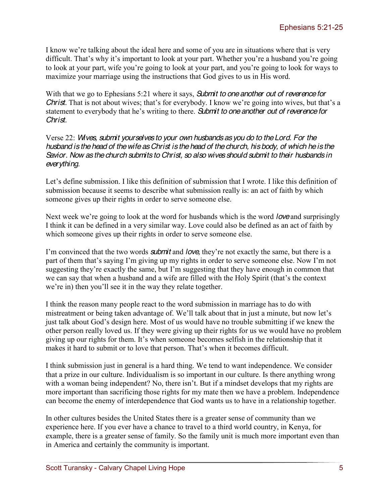I know we're talking about the ideal here and some of you are in situations where that is very difficult. That's why it's important to look at your part. Whether you're a husband you're going to look at your part, wife you're going to look at your part, and you're going to look for ways to maximize your marriage using the instructions that God gives to us in His word.

With that we go to Ephesians 5:21 where it says, *Submit to one another out of reverence for Christ.* That is not about wives; that's for everybody. I know we're going into wives, but that's a statement to everybody that he's writing to there. Submit to one another out of *reverence for Christ.*

Verse 22: *Wives, submit yourselves to your own husbands as you do to the Lord. For the husband is the head of the wife as Christ is the head of the church, his body, of which he is the Savior. Now as the church submits to Christ, so also wives should submit to their husbands in everything.*

Let's define submission. I like this definition of submission that I wrote. I like this definition of submission because it seems to describe what submission really is: an act of faith by which someone gives up their rights in order to serve someone else.

Next week we're going to look at the word for husbands which is the word *love* and surprisingly I think it can be defined in a very similar way. Love could also be defined as an act of faith by which someone gives up their rights in order to serve someone else.

I'm convinced that the two words **submit** and *love*, they're not exactly the same, but there is a part of them that's saying I'm giving up my rights in order to serve someone else. Now I'm not suggesting they're exactly the same, but I'm suggesting that they have enough in common that we can say that when a husband and a wife are filled with the Holy Spirit (that's the context we're in) then you'll see it in the way they relate together.

I think the reason many people react to the word submission in marriage has to do with mistreatment or being taken advantage of. We'll talk about that in just a minute, but now let's just talk about God's design here. Most of us would have no trouble submitting if we knew the other person really loved us. If they were giving up their rights for us we would have no problem giving up our rights for them. It's when someone becomes selfish in the relationship that it makes it hard to submit or to love that person. That's when it becomes difficult.

I think submission just in general is a hard thing. We tend to want independence. We consider that a prize in our culture. Individualism is so important in our culture. Is there anything wrong with a woman being independent? No, there isn't. But if a mindset develops that my rights are more important than sacrificing those rights for my mate then we have a problem. Independence can become the enemy of interdependence that God wants us to have in a relationship together.

In other cultures besides the United States there is a greater sense of community than we experience here. If you ever have a chance to travel to a third world country, in Kenya, for example, there is a greater sense of family. So the family unit is much more important even than in America and certainly the community is important.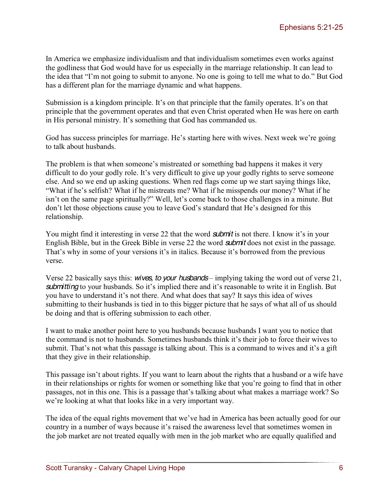In America we emphasize individualism and that individualism sometimes even works against the godliness that God would have for us especially in the marriage relationship. It can lead to the idea that "I'm not going to submit to anyone. No one is going to tell me what to do." But God has a different plan for the marriage dynamic and what happens.

Submission is a kingdom principle. It's on that principle that the family operates. It's on that principle that the government operates and that even Christ operated when He was here on earth in His personal ministry. It's something that God has commanded us.

God has success principles for marriage. He's starting here with wives. Next week we're going to talk about husbands.

The problem is that when someone's mistreated or something bad happens it makes it very difficult to do your godly role. It's very difficult to give up your godly rights to serve someone else. And so we end up asking questions. When red flags come up we start saying things like, "What if he's selfish? What if he mistreats me? What if he misspends our money? What if he isn't on the same page spiritually?" Well, let's come back to those challenges in a minute. But don't let those objections cause you to leave God's standard that He's designed for this relationship.

You might find it interesting in verse 22 that the word **submit** is not there. I know it's in your English Bible, but in the Greek Bible in verse 22 the word *submit* does not exist in the passage. That's why in some of your versions it's in italics. Because it's borrowed from the previous verse.

Verse 22 basically says this: *wives, to your husbands* – implying taking the word out of verse 21, *submitting* to your husbands. So it's implied there and it's reasonable to write it in English. But you have to understand it's not there. And what does that say? It says this idea of wives submitting to their husbands is tied in to this bigger picture that he says of what all of us should be doing and that is offering submission to each other.

I want to make another point here to you husbands because husbands I want you to notice that the command is not to husbands. Sometimes husbands think it's their job to force their wives to submit. That's not what this passage is talking about. This is a command to wives and it's a gift that they give in their relationship.

This passage isn't about rights. If you want to learn about the rights that a husband or a wife have in their relationships or rights for women or something like that you're going to find that in other passages, not in this one. This is a passage that's talking about what makes a marriage work? So we're looking at what that looks like in a very important way.

The idea of the equal rights movement that we've had in America has been actually good for our country in a number of ways because it's raised the awareness level that sometimes women in the job market are not treated equally with men in the job market who are equally qualified and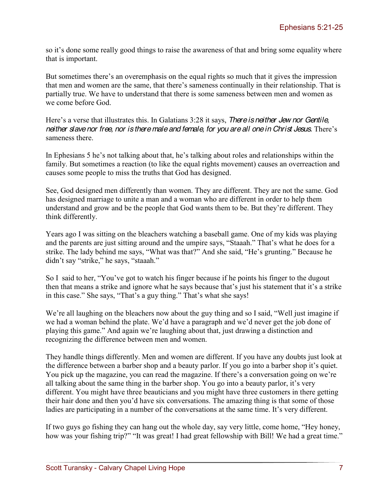so it's done some really good things to raise the awareness of that and bring some equality where that is important.

But sometimes there's an overemphasis on the equal rights so much that it gives the impression that men and women are the same, that there's sameness continually in their relationship. That is partially true. We have to understand that there is some sameness between men and women as we come before God.

Here's a verse that illustrates this. In Galatians 3:28 it says, *There is neither Jew nor Gentile*, *neither slave nor free, nor is there male and female, for you are all one in Christ Jesus. There's* sameness there.

In Ephesians 5 he's not talking about that, he's talking about roles and relationships within the family. But sometimes a reaction (to like the equal rights movement) causes an overreaction and causes some people to miss the truths that God has designed.

See, God designed men differently than women. They are different. They are not the same. God has designed marriage to unite a man and a woman who are different in order to help them understand and grow and be the people that God wants them to be. But they're different. They think differently.

Years ago I was sitting on the bleachers watching a baseball game. One of my kids was playing and the parents are just sitting around and the umpire says. "Staaah." That's what he does for a strike. The lady behind me says, "What was that?" And she said, "He's grunting." Because he didn't say "strike," he says, "staaah."

So I said to her, "You've got to watch his finger because if he points his finger to the dugout then that means a strike and ignore what he says because that's just his statement that it's a strike in this case." She says, "That's a guy thing." That's what she says!

We're all laughing on the bleachers now about the guy thing and so I said, "Well just imagine if we had a woman behind the plate. We'd have a paragraph and we'd never get the job done of playing this game." And again we're laughing about that, just drawing a distinction and recognizing the difference between men and women.

They handle things differently. Men and women are different. If you have any doubts just look at the difference between a barber shop and a beauty parlor. If you go into a barber shop it's quiet. You pick up the magazine, you can read the magazine. If there's a conversation going on we're all talking about the same thing in the barber shop. You go into a beauty parlor, it's very different. You might have three beauticians and you might have three customers in there getting their hair done and then you'd have six conversations. The amazing thing is that some of those ladies are participating in a number of the conversations at the same time. It's very different.

If two guys go fishing they can hang out the whole day, say very little, come home, "Hey honey, how was your fishing trip?" "It was great! I had great fellowship with Bill! We had a great time."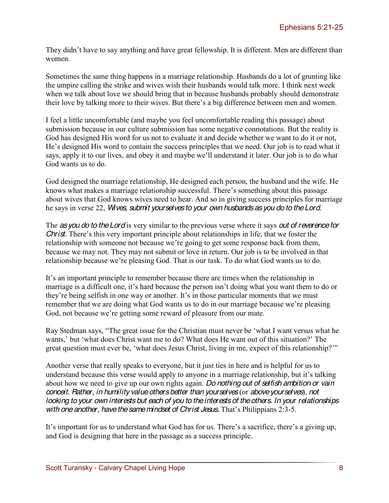They didn't have to say anything and have great fellowship. It is different. Men are different than women.

Sometimes the same thing happens in a marriage relationship. Husbands do a lot of grunting like the umpire calling the strike and wives wish their husbands would talk more. I think next week when we talk about love we should bring that in because husbands probably should demonstrate their love by talking more to their wives. But there's a big difference between men and women.

I feel a little uncomfortable (and maybe you feel uncomfortable reading this passage) about submission because in our culture submission has some negative connotations. But the reality is God has designed His word for us not to evaluate it and decide whether we want to do it or not, He's designed His word to contain the success principles that we need. Our job is to read what it says, apply it to our lives, and obey it and maybe we'll understand it later. Our job is to do what God wants us to do.

God designed the marriage relationship, He designed each person, the husband and the wife. He knows what makes a marriage relationship successful. There's something about this passage about wives that God knows wives need to hear. And so in giving success principles for marriage he says in verse 22, *Wives, submit yourselves to your own husbands as you do to the Lord.* 

The *as you do to the Lord* is very similar to the previous verse where it says *out of reverence for Christ.* There's this very important principle about relationships in life, that we foster the relationship with someone not because we're going to get some response back from them, because we may not. They may not submit or love in return. Our job is to be involved in that relationship because we're pleasing God. That is our task. To do what God wants us to do.

It's an important principle to remember because there are times when the relationship in marriage is a difficult one, it's hard because the person isn't doing what you want them to do or they're being selfish in one way or another. It's in those particular moments that we must remember that we are doing what God wants us to do in our marriage because we're pleasing God, not because we're getting some reward of pleasure from our mate.

Ray Stedman says, "The great issue for the Christian must never be 'what I want versus what he wants,' but 'what does Christ want me to do? What does He want out of this situation?' The great question must ever be, 'what does Jesus Christ, living in me, expect of this relationship?"

Another verse that really speaks to everyone, but it just ties in here and is helpful for us to understand because this verse would apply to anyone in a marriage relationship, but it's talking about how we need to give up our own rights again. *Do nothing out of selfish ambition or vain conceit. Rather, in humility value others better than yourselves* (or *above yourselves*)*, not looking to your own interests but each of you to the interests of the others. In your relationships with one another, have the same mindset of Christ Jesus. That's Philippians 2:3-5.* 

It's important for us to understand what God has for us. There's a sacrifice, there's a giving up, and God is designing that here in the passage as a success principle.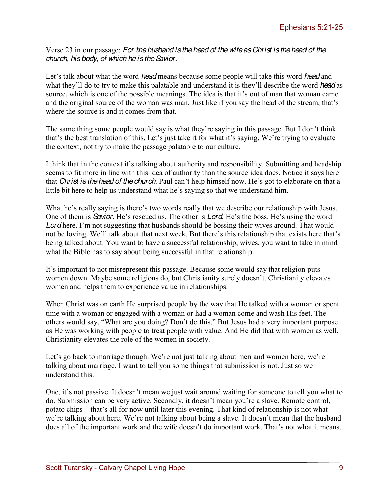Verse 23 in our passage: *For the husband is the head of the wife as Christ is the head of the church, his body, of which he is the Savior.* 

Let's talk about what the word *head* means because some people will take this word *head* and what they'll do to try to make this palatable and understand it is they'll describe the word *head* as source, which is one of the possible meanings. The idea is that it's out of man that woman came and the original source of the woman was man. Just like if you say the head of the stream, that's where the source is and it comes from that.

The same thing some people would say is what they're saying in this passage. But I don't think that's the best translation of this. Let's just take it for what it's saying. We're trying to evaluate the context, not try to make the passage palatable to our culture.

I think that in the context it's talking about authority and responsibility. Submitting and headship seems to fit more in line with this idea of authority than the source idea does. Notice it says here that *Christ is the head of the church*. Paul can't help himself now. He's got to elaborate on that a little bit here to help us understand what he's saying so that we understand him.

What he's really saying is there's two words really that we describe our relationship with Jesus. One of them is *Savior*. He's rescued us. The other is *Lord*, He's the boss. He's using the word *Lord* here. I'm not suggesting that husbands should be bossing their wives around. That would not be loving. We'll talk about that next week. But there's this relationship that exists here that's being talked about. You want to have a successful relationship, wives, you want to take in mind what the Bible has to say about being successful in that relationship.

It's important to not misrepresent this passage. Because some would say that religion puts women down. Maybe some religions do, but Christianity surely doesn't. Christianity elevates women and helps them to experience value in relationships.

When Christ was on earth He surprised people by the way that He talked with a woman or spent time with a woman or engaged with a woman or had a woman come and wash His feet. The others would say, "What are you doing? Don't do this." But Jesus had a very important purpose as He was working with people to treat people with value. And He did that with women as well. Christianity elevates the role of the women in society.

Let's go back to marriage though. We're not just talking about men and women here, we're talking about marriage. I want to tell you some things that submission is not. Just so we understand this.

One, it's not passive. It doesn't mean we just wait around waiting for someone to tell you what to do. Submission can be very active. Secondly, it doesn't mean you're a slave. Remote control, potato chips – that's all for now until later this evening. That kind of relationship is not what we're talking about here. We're not talking about being a slave. It doesn't mean that the husband does all of the important work and the wife doesn't do important work. That's not what it means.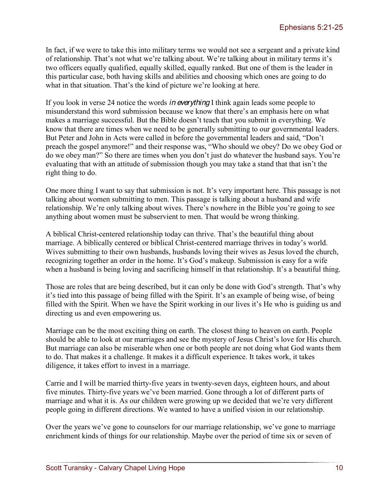In fact, if we were to take this into military terms we would not see a sergeant and a private kind of relationship. That's not what we're talking about. We're talking about in military terms it's two officers equally qualified, equally skilled, equally ranked. But one of them is the leader in this particular case, both having skills and abilities and choosing which ones are going to do what in that situation. That's the kind of picture we're looking at here.

If you look in verse 24 notice the words *in everything* I think again leads some people to misunderstand this word submission because we know that there's an emphasis here on what makes a marriage successful. But the Bible doesn't teach that you submit in everything. We know that there are times when we need to be generally submitting to our governmental leaders. But Peter and John in Acts were called in before the governmental leaders and said, "Don't preach the gospel anymore!" and their response was, "Who should we obey? Do we obey God or do we obey man?" So there are times when you don't just do whatever the husband says. You're evaluating that with an attitude of submission though you may take a stand that that isn't the right thing to do.

One more thing I want to say that submission is not. It's very important here. This passage is not talking about women submitting to men. This passage is talking about a husband and wife relationship. We're only talking about wives. There's nowhere in the Bible you're going to see anything about women must be subservient to men. That would be wrong thinking.

A biblical Christ-centered relationship today can thrive. That's the beautiful thing about marriage. A biblically centered or biblical Christ-centered marriage thrives in today's world. Wives submitting to their own husbands, husbands loving their wives as Jesus loved the church, recognizing together an order in the home. It's God's makeup. Submission is easy for a wife when a husband is being loving and sacrificing himself in that relationship. It's a beautiful thing.

Those are roles that are being described, but it can only be done with God's strength. That's why it's tied into this passage of being filled with the Spirit. It's an example of being wise, of being filled with the Spirit. When we have the Spirit working in our lives it's He who is guiding us and directing us and even empowering us.

Marriage can be the most exciting thing on earth. The closest thing to heaven on earth. People should be able to look at our marriages and see the mystery of Jesus Christ's love for His church. But marriage can also be miserable when one or both people are not doing what God wants them to do. That makes it a challenge. It makes it a difficult experience. It takes work, it takes diligence, it takes effort to invest in a marriage.

Carrie and I will be married thirty-five years in twenty-seven days, eighteen hours, and about five minutes. Thirty-five years we've been married. Gone through a lot of different parts of marriage and what it is. As our children were growing up we decided that we're very different people going in different directions. We wanted to have a unified vision in our relationship.

Over the years we've gone to counselors for our marriage relationship, we've gone to marriage enrichment kinds of things for our relationship. Maybe over the period of time six or seven of